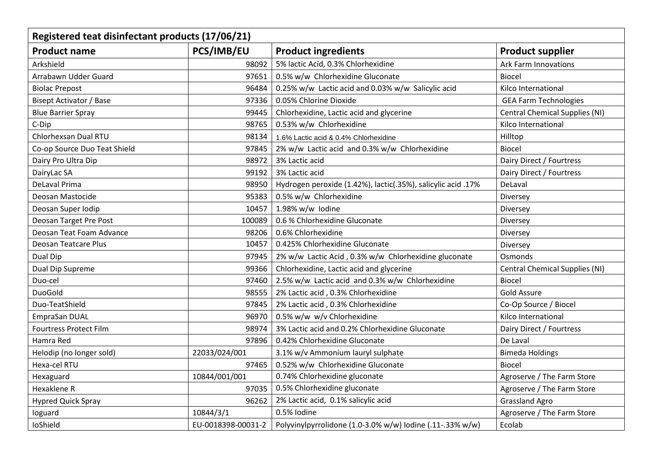| Registered teat disinfectant products (17/06/21) |                    |                                                              |                                       |  |  |  |
|--------------------------------------------------|--------------------|--------------------------------------------------------------|---------------------------------------|--|--|--|
| <b>Product name</b>                              | <b>PCS/IMB/EU</b>  | <b>Product ingredients</b>                                   | <b>Product supplier</b>               |  |  |  |
| Arkshield                                        | 98092              | 5% lactic Acid, 0.3% Chlorhexidine                           | <b>Ark Farm Innovations</b>           |  |  |  |
| Arrabawn Udder Guard                             | 97651              | 0.5% w/w Chlorhexidine Gluconate                             | <b>Biocel</b>                         |  |  |  |
| <b>Biolac Prepost</b>                            | 96484              | 0.25% w/w Lactic acid and 0.03% w/w Salicylic acid           | Kilco International                   |  |  |  |
| Bisept Activator / Base                          | 97336              | 0.05% Chlorine Dioxide                                       | <b>GEA Farm Technologies</b>          |  |  |  |
| <b>Blue Barrier Spray</b>                        | 99445              | Chlorhexidine, Lactic acid and glycerine                     | <b>Central Chemical Supplies (NI)</b> |  |  |  |
| C-Dip                                            | 98765              | 0.53% w/w Chlorhexidine                                      | Kilco International                   |  |  |  |
| Chlorhexsan Dual RTU                             | 98134              | 1.6% Lactic acid & 0.4% Chlorhexidine                        | Hilltop                               |  |  |  |
| Co-op Source Duo Teat Shield                     | 97845              | 2% w/w Lactic acid and 0.3% w/w Chlorhexidine                | <b>Biocel</b>                         |  |  |  |
| Dairy Pro Ultra Dip                              | 98972              | 3% Lactic acid                                               | Dairy Direct / Fourtress              |  |  |  |
| DairyLac SA                                      | 99192              | 3% Lactic acid                                               | Dairy Direct / Fourtress              |  |  |  |
| <b>DeLaval Prima</b>                             | 98950              | Hydrogen peroxide (1.42%), lactic(.35%), salicylic acid .17% | DeLaval                               |  |  |  |
| Deosan Mastocide                                 | 95383              | 0.5% w/w Chlorhexidine                                       | Diversey                              |  |  |  |
| Deosan Super Iodip                               | 10457              | 1.98% w/w lodine                                             | Diversey                              |  |  |  |
| Deosan Target Pre Post                           | 100089             | 0.6 % Chlorhexidine Gluconate                                | Diversey                              |  |  |  |
| Deosan Teat Foam Advance                         | 98206              | 0.6% Chlorhexidine                                           | Diversey                              |  |  |  |
| Deosan Teatcare Plus                             | 10457              | 0.425% Chlorhexidine Gluconate                               | Diversey                              |  |  |  |
| Dual Dip                                         | 97945              | 2% w/w Lactic Acid, 0.3% w/w Chlorhexidine gluconate         | Osmonds                               |  |  |  |
| Dual Dip Supreme                                 | 99366              | Chlorhexidine, Lactic acid and glycerine                     | <b>Central Chemical Supplies (NI)</b> |  |  |  |
| Duo-cel                                          | 97460              | 2.5% w/w Lactic acid and 0.3% w/w Chlorhexidine              | Biocel                                |  |  |  |
| DuoGold                                          | 98555              | 2% Lactic acid, 0.3% Chlorhexidine                           | <b>Gold Assure</b>                    |  |  |  |
| Duo-TeatShield                                   | 97845              | 2% Lactic acid, 0.3% Chlorhexidine                           | Co-Op Source / Biocel                 |  |  |  |
| EmpraSan DUAL                                    | 96970              | 0.5% w/w w/v Chlorhexidine                                   | Kilco International                   |  |  |  |
| <b>Fourtress Protect Film</b>                    | 98974              | 3% Lactic acid and 0.2% Chlorhexidine Gluconate              | Dairy Direct / Fourtress              |  |  |  |
| Hamra Red                                        | 97896              | 0.42% Chlorhexidine Gluconate                                | De Laval                              |  |  |  |
| Helodip (no longer sold)                         | 22033/024/001      | 3.1% w/v Ammonium lauryl sulphate                            | <b>Bimeda Holdings</b>                |  |  |  |
| Hexa-cel RTU                                     | 97465              | 0.52% w/w Chlorhexidine Gluconate                            | <b>Biocel</b>                         |  |  |  |
| Hexaguard                                        | 10844/001/001      | 0.74% Chlorhexidine gluconate                                | Agroserve / The Farm Store            |  |  |  |
| Hexaklene R                                      | 97035              | 0.5% Chlorhexidine gluconate                                 | Agroserve / The Farm Store            |  |  |  |
| <b>Hypred Quick Spray</b>                        | 96262              | 2% Lactic acid, 0.1% salicylic acid                          | <b>Grassland Agro</b>                 |  |  |  |
| loguard                                          | 10844/3/1          | 0.5% Iodine                                                  | Agroserve / The Farm Store            |  |  |  |
| IoShield                                         | EU-0018398-00031-2 | Polyvinylpyrrolidone (1.0-3.0% w/w) lodine (.11-.33% w/w)    | Ecolab                                |  |  |  |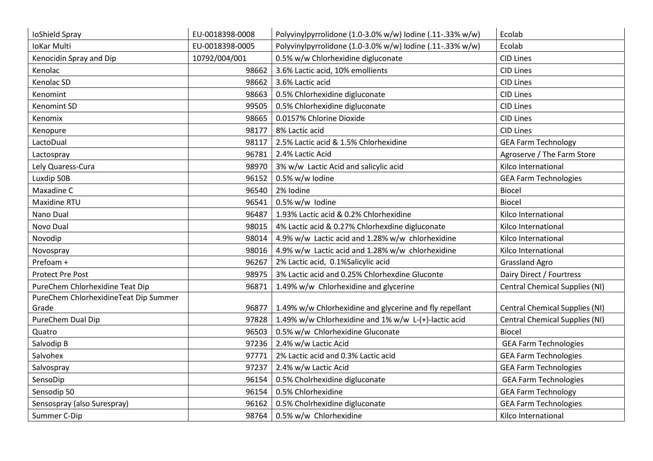| IoShield Spray                        | EU-0018398-0008 | Polyvinylpyrrolidone (1.0-3.0% w/w) lodine (.11-.33% w/w) | Ecolab                                |
|---------------------------------------|-----------------|-----------------------------------------------------------|---------------------------------------|
| <b>IoKar Multi</b>                    | EU-0018398-0005 | Polyvinylpyrrolidone (1.0-3.0% w/w) lodine (.11-.33% w/w) | Ecolab                                |
| Kenocidin Spray and Dip               | 10792/004/001   | 0.5% w/w Chlorhexidine digluconate                        | <b>CID Lines</b>                      |
| Kenolac                               | 98662           | 3.6% Lactic acid, 10% emollients                          | <b>CID Lines</b>                      |
| Kenolac SD                            | 98662           | 3.6% Lactic acid                                          | <b>CID Lines</b>                      |
| Kenomint                              | 98663           | 0.5% Chlorhexidine digluconate                            | <b>CID Lines</b>                      |
| Kenomint SD                           | 99505           | 0.5% Chlorhexidine digluconate                            | <b>CID Lines</b>                      |
| Kenomix                               | 98665           | 0.0157% Chlorine Dioxide                                  | <b>CID Lines</b>                      |
| Kenopure                              | 98177           | 8% Lactic acid                                            | <b>CID Lines</b>                      |
| LactoDual                             | 98117           | 2.5% Lactic acid & 1.5% Chlorhexidine                     | <b>GEA Farm Technology</b>            |
| Lactospray                            | 96781           | 2.4% Lactic Acid                                          | Agroserve / The Farm Store            |
| Lely Quaress-Cura                     | 98970           | 3% w/w Lactic Acid and salicylic acid                     | Kilco International                   |
| Luxdip 50B                            | 96152           | 0.5% w/w lodine                                           | <b>GEA Farm Technologies</b>          |
| Maxadine C                            | 96540           | 2% Iodine                                                 | <b>Biocel</b>                         |
| Maxidine RTU                          | 96541           | 0.5% w/w Iodine                                           | <b>Biocel</b>                         |
| Nano Dual                             | 96487           | 1.93% Lactic acid & 0.2% Chlorhexidine                    | Kilco International                   |
| Novo Dual                             | 98015           | 4% Lactic acid & 0.27% Chlorhexdine digluconate           | Kilco International                   |
| Novodip                               | 98014           | 4.9% w/w Lactic acid and 1.28% w/w chlorhexidine          | Kilco International                   |
| Novospray                             | 98016           | 4.9% w/w Lactic acid and 1.28% w/w chlorhexidine          | Kilco International                   |
| Prefoam +                             | 96267           | 2% Lactic acid, 0.1%Salicylic acid                        | <b>Grassland Agro</b>                 |
| <b>Protect Pre Post</b>               | 98975           | 3% Lactic acid and 0.25% Chlorhexdine Gluconte            | Dairy Direct / Fourtress              |
| PureChem Chlorhexidine Teat Dip       | 96871           | 1.49% w/w Chlorhexidine and glycerine                     | <b>Central Chemical Supplies (NI)</b> |
| PureChem ChlorhexidineTeat Dip Summer |                 |                                                           |                                       |
| Grade                                 | 96877           | 1.49% w/w Chlorhexidine and glycerine and fly repellant   | <b>Central Chemical Supplies (NI)</b> |
| PureChem Dual Dip                     | 97828           | 1.49% w/w Chlorhexidine and 1% w/w L-(+)-lactic acid      | Central Chemical Supplies (NI)        |
| Quatro                                | 96503           | 0.5% w/w Chlorhexidine Gluconate                          | <b>Biocel</b>                         |
| Salvodip B                            | 97236           | 2.4% w/w Lactic Acid                                      | <b>GEA Farm Technologies</b>          |
| Salvohex                              | 97771           | 2% Lactic acid and 0.3% Lactic acid                       | <b>GEA Farm Technologies</b>          |
| Salvospray                            | 97237           | 2.4% w/w Lactic Acid                                      | <b>GEA Farm Technologies</b>          |
| SensoDip                              | 96154           | 0.5% Cholrhexidine digluconate                            | <b>GEA Farm Technologies</b>          |
| Sensodip 50                           | 96154           | 0.5% Chlorhexidine                                        | <b>GEA Farm Technology</b>            |
| Sensospray (also Surespray)           | 96162           | 0.5% Cholrhexidine digluconate                            | <b>GEA Farm Technologies</b>          |
| Summer C-Dip                          | 98764           | 0.5% w/w Chlorhexidine                                    | Kilco International                   |